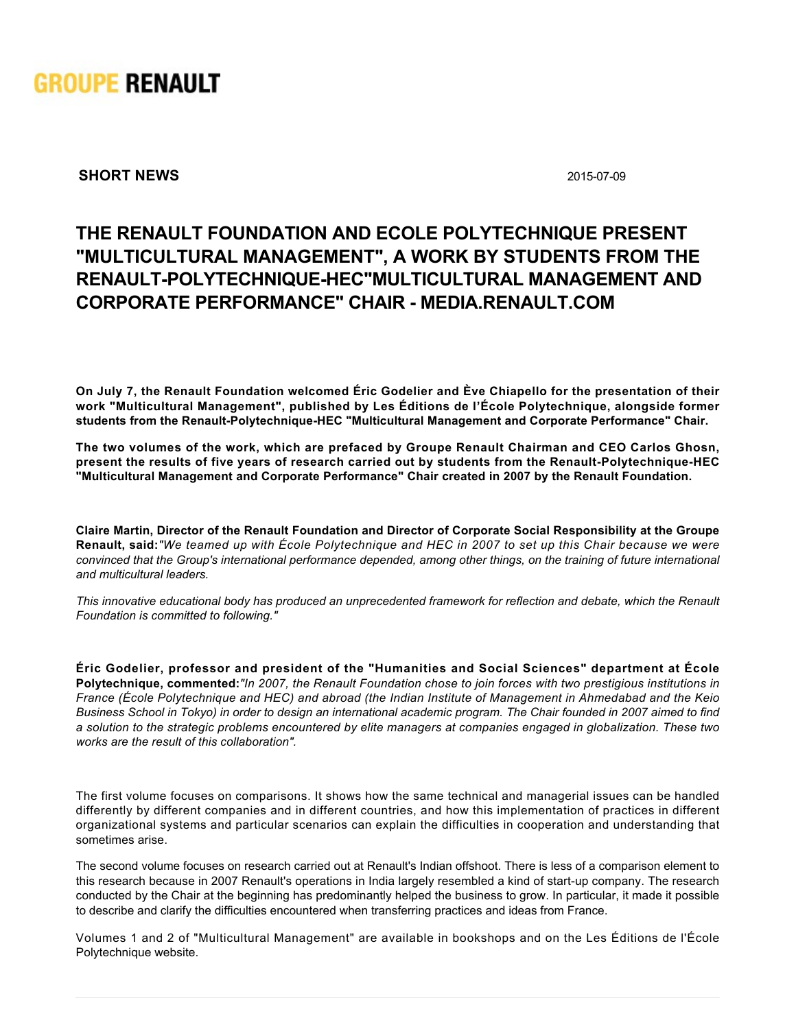

**SHORT NEWS** 2015-07-09

## **THE RENAULT FOUNDATION AND ECOLE POLYTECHNIQUE PRESENT "MULTICULTURAL MANAGEMENT", A WORK BY STUDENTS FROM THE** RENAULT-POLYTECHNIQUE-HEC"MULTICULTURAL MANAGEMENT AND **CORPORATE PERFORMANCE" CHAIR MEDIA.RENAULT.COM**

**On July 7, the Renault Foundation welcomed Éric Godelier and Ève Chiapello for the presentation of their work "Multicultural Management", published by Les Éditions de l'École Polytechnique, alongside former** students from the Renault-Polytechnique-HEC "Multicultural Management and Corporate Performance" Chair.

**The two volumes of the work, which are prefaced by Groupe Renault Chairman and CEO Carlos Ghosn,** present the results of five years of research carried out by students from the Renault-Polytechnique-HEC **"Multicultural Management and Corporate Performance" Chair created in 2007 by the Renault Foundation.**

**Claire Martin, Director of the Renault Foundation and Director of Corporate Social Responsibility at the Groupe Renault, said:***"We teamed up with École Polytechnique and HEC in 2007 to set up this Chair because we were convinced that the Group's international performance depended, among other things, on the training of future international and multicultural leaders.*

*This innovative educational body has produced an unprecedented framework for reflection and debate, which the Renault Foundation is committed to following."*

**Éric Godelier, professor and president of the "Humanities and Social Sciences" department at École Polytechnique, commented:***"In 2007, the Renault Foundation chose to join forces with two prestigious institutions in France (École Polytechnique and HEC) and abroad (the Indian Institute of Management in Ahmedabad and the Keio Business School in Tokyo) in order to design an international academic program. The Chair founded in 2007 aimed to find a solution to the strategic problems encountered by elite managers at companies engaged in globalization. These two works are the result of this collaboration".*

The first volume focuses on comparisons. It shows how the same technical and managerial issues can be handled differently by different companies and in different countries, and how this implementation of practices in different organizational systems and particular scenarios can explain the difficulties in cooperation and understanding that sometimes arise.

The second volume focuses on research carried out at Renault's Indian offshoot. There is less of a comparison element to this research because in 2007 Renault's operations in India largely resembled a kind of start-up company. The research conducted by the Chair at the beginning has predominantly helped the business to grow. In particular, it made it possible to describe and clarify the difficulties encountered when transferring practices and ideas from France.

Volumes 1 and 2 of "Multicultural Management" are available in bookshops and on the Les Éditions de l'École Polytechnique website.